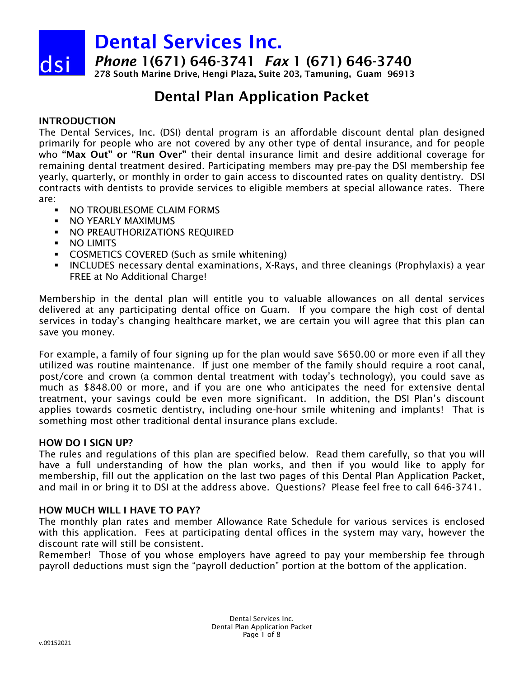*Phone* 1(671) 646-3741 *Fax* 1 (671) 646-3740

278 South Marine Drive, Hengi Plaza, Suite 203, Tamuning, Guam 96913

# Dental Plan Application Packet

# INTRODUCTION

dsi

The Dental Services, Inc. (DSI) dental program is an affordable discount dental plan designed primarily for people who are not covered by any other type of dental insurance, and for people who "Max Out" or "Run Over" their dental insurance limit and desire additional coverage for remaining dental treatment desired. Participating members may pre-pay the DSI membership fee yearly, quarterly, or monthly in order to gain access to discounted rates on quality dentistry. DSI contracts with dentists to provide services to eligible members at special allowance rates. There are:

- **NO TROUBLESOME CLAIM FORMS**
- **NO YEARLY MAXIMUMS**
- **NO PREAUTHORIZATIONS REQUIRED**
- **NO LIMITS**
- **COSMETICS COVERED (Such as smile whitening)**
- INCLUDES necessary dental examinations, X-Rays, and three cleanings (Prophylaxis) a year FREE at No Additional Charge!

Membership in the dental plan will entitle you to valuable allowances on all dental services delivered at any participating dental office on Guam. If you compare the high cost of dental services in today's changing healthcare market, we are certain you will agree that this plan can save you money.

For example, a family of four signing up for the plan would save \$650.00 or more even if all they utilized was routine maintenance. If just one member of the family should require a root canal, post/core and crown (a common dental treatment with today's technology), you could save as much as \$848.00 or more, and if you are one who anticipates the need for extensive dental treatment, your savings could be even more significant. In addition, the DSI Plan's discount applies towards cosmetic dentistry, including one-hour smile whitening and implants! That is something most other traditional dental insurance plans exclude.

# HOW DO I SIGN UP?

The rules and regulations of this plan are specified below. Read them carefully, so that you will have a full understanding of how the plan works, and then if you would like to apply for membership, fill out the application on the last two pages of this Dental Plan Application Packet, and mail in or bring it to DSI at the address above. Questions? Please feel free to call 646-3741.

# HOW MUCH WILL I HAVE TO PAY?

The monthly plan rates and member Allowance Rate Schedule for various services is enclosed with this application. Fees at participating dental offices in the system may vary, however the discount rate will still be consistent.

Remember! Those of you whose employers have agreed to pay your membership fee through payroll deductions must sign the "payroll deduction" portion at the bottom of the application.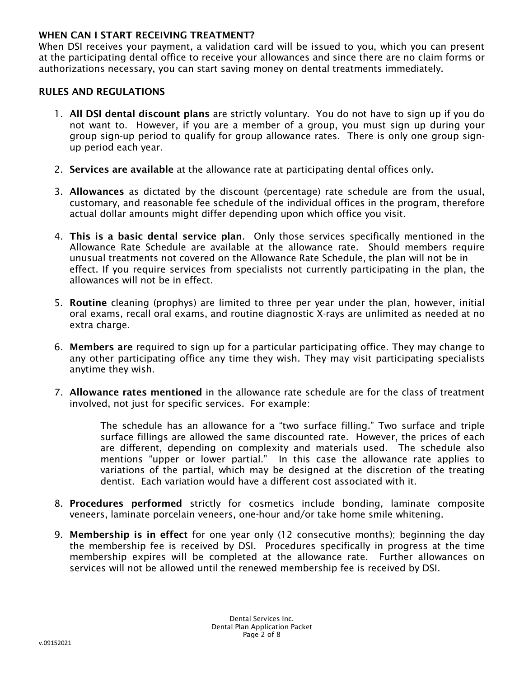### WHEN CAN I START RECEIVING TREATMENT?

When DSI receives your payment, a validation card will be issued to you, which you can present at the participating dental office to receive your allowances and since there are no claim forms or authorizations necessary, you can start saving money on dental treatments immediately.

### RULES AND REGULATIONS

- 1. All DSI dental discount plans are strictly voluntary. You do not have to sign up if you do not want to. However, if you are a member of a group, you must sign up during your group sign-up period to qualify for group allowance rates. There is only one group signup period each year.
- 2. Services are available at the allowance rate at participating dental offices only.
- 3. Allowances as dictated by the discount (percentage) rate schedule are from the usual, customary, and reasonable fee schedule of the individual offices in the program, therefore actual dollar amounts might differ depending upon which office you visit.
- 4. This is a basic dental service plan. Only those services specifically mentioned in the Allowance Rate Schedule are available at the allowance rate. Should members require unusual treatments not covered on the Allowance Rate Schedule, the plan will not be in effect. If you require services from specialists not currently participating in the plan, the allowances will not be in effect.
- 5. Routine cleaning (prophys) are limited to three per year under the plan, however, initial oral exams, recall oral exams, and routine diagnostic X-rays are unlimited as needed at no extra charge.
- 6. Members are required to sign up for a particular participating office. They may change to any other participating office any time they wish. They may visit participating specialists anytime they wish.
- 7. Allowance rates mentioned in the allowance rate schedule are for the class of treatment involved, not just for specific services. For example:

The schedule has an allowance for a "two surface filling." Two surface and triple surface fillings are allowed the same discounted rate. However, the prices of each are different, depending on complexity and materials used. The schedule also mentions "upper or lower partial." In this case the allowance rate applies to variations of the partial, which may be designed at the discretion of the treating dentist. Each variation would have a different cost associated with it.

- 8. Procedures performed strictly for cosmetics include bonding, laminate composite veneers, laminate porcelain veneers, one-hour and/or take home smile whitening.
- 9. Membership is in effect for one year only (12 consecutive months); beginning the day the membership fee is received by DSI. Procedures specifically in progress at the time membership expires will be completed at the allowance rate. Further allowances on services will not be allowed until the renewed membership fee is received by DSI.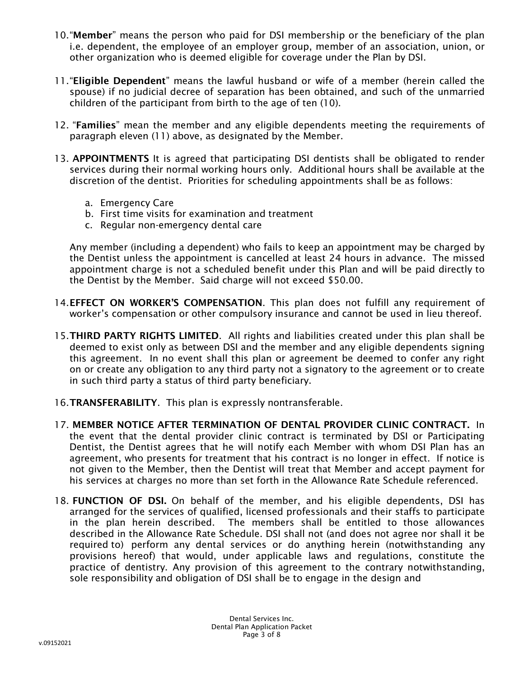- 10. "Member" means the person who paid for DSI membership or the beneficiary of the plan i.e. dependent, the employee of an employer group, member of an association, union, or other organization who is deemed eligible for coverage under the Plan by DSI.
- 11."Eligible Dependent" means the lawful husband or wife of a member (herein called the spouse) if no judicial decree of separation has been obtained, and such of the unmarried children of the participant from birth to the age of ten (10).
- 12. "Families" mean the member and any eligible dependents meeting the requirements of paragraph eleven (11) above, as designated by the Member.
- 13. APPOINTMENTS It is agreed that participating DSI dentists shall be obligated to render services during their normal working hours only. Additional hours shall be available at the discretion of the dentist. Priorities for scheduling appointments shall be as follows:
	- a. Emergency Care
	- b. First time visits for examination and treatment
	- c. Regular non-emergency dental care

Any member (including a dependent) who fails to keep an appointment may be charged by the Dentist unless the appointment is cancelled at least 24 hours in advance. The missed appointment charge is not a scheduled benefit under this Plan and will be paid directly to the Dentist by the Member. Said charge will not exceed \$50.00.

- 14. EFFECT ON WORKER'S COMPENSATION. This plan does not fulfill any requirement of worker's compensation or other compulsory insurance and cannot be used in lieu thereof.
- 15.THIRD PARTY RIGHTS LIMITED. All rights and liabilities created under this plan shall be deemed to exist only as between DSI and the member and any eligible dependents signing this agreement. In no event shall this plan or agreement be deemed to confer any right on or create any obligation to any third party not a signatory to the agreement or to create in such third party a status of third party beneficiary.
- 16.TRANSFERABILITY. This plan is expressly nontransferable.
- 17. MEMBER NOTICE AFTER TERMINATION OF DENTAL PROVIDER CLINIC CONTRACT. In the event that the dental provider clinic contract is terminated by DSI or Participating Dentist, the Dentist agrees that he will notify each Member with whom DSI Plan has an agreement, who presents for treatment that his contract is no longer in effect. If notice is not given to the Member, then the Dentist will treat that Member and accept payment for his services at charges no more than set forth in the Allowance Rate Schedule referenced.
- 18. FUNCTION OF DSI. On behalf of the member, and his eligible dependents, DSI has arranged for the services of qualified, licensed professionals and their staffs to participate in the plan herein described. The members shall be entitled to those allowances described in the Allowance Rate Schedule. DSI shall not (and does not agree nor shall it be required to) perform any dental services or do anything herein (notwithstanding any provisions hereof) that would, under applicable laws and regulations, constitute the practice of dentistry. Any provision of this agreement to the contrary notwithstanding, sole responsibility and obligation of DSI shall be to engage in the design and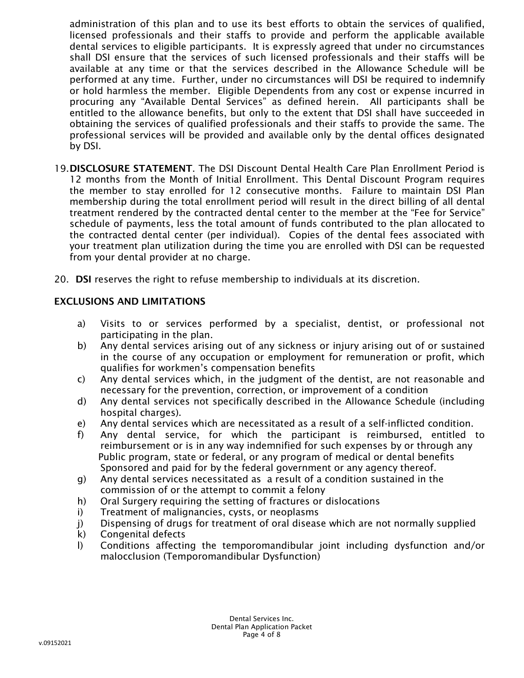administration of this plan and to use its best efforts to obtain the services of qualified, licensed professionals and their staffs to provide and perform the applicable available dental services to eligible participants. It is expressly agreed that under no circumstances shall DSI ensure that the services of such licensed professionals and their staffs will be available at any time or that the services described in the Allowance Schedule will be performed at any time. Further, under no circumstances will DSI be required to indemnify or hold harmless the member. Eligible Dependents from any cost or expense incurred in procuring any "Available Dental Services" as defined herein. All participants shall be entitled to the allowance benefits, but only to the extent that DSI shall have succeeded in obtaining the services of qualified professionals and their staffs to provide the same. The professional services will be provided and available only by the dental offices designated by DSI.

- 19. DISCLOSURE STATEMENT. The DSI Discount Dental Health Care Plan Enrollment Period is 12 months from the Month of Initial Enrollment. This Dental Discount Program requires the member to stay enrolled for 12 consecutive months. Failure to maintain DSI Plan membership during the total enrollment period will result in the direct billing of all dental treatment rendered by the contracted dental center to the member at the "Fee for Service" schedule of payments, less the total amount of funds contributed to the plan allocated to the contracted dental center (per individual). Copies of the dental fees associated with your treatment plan utilization during the time you are enrolled with DSI can be requested from your dental provider at no charge.
- 20. DSI reserves the right to refuse membership to individuals at its discretion.

## EXCLUSIONS AND LIMITATIONS

- a) Visits to or services performed by a specialist, dentist, or professional not participating in the plan.
- b) Any dental services arising out of any sickness or injury arising out of or sustained in the course of any occupation or employment for remuneration or profit, which qualifies for workmen's compensation benefits
- c) Any dental services which, in the judgment of the dentist, are not reasonable and necessary for the prevention, correction, or improvement of a condition
- d) Any dental services not specifically described in the Allowance Schedule (including hospital charges).
- e) Any dental services which are necessitated as a result of a self-inflicted condition.
- f) Any dental service, for which the participant is reimbursed, entitled to reimbursement or is in any way indemnified for such expenses by or through any Public program, state or federal, or any program of medical or dental benefits Sponsored and paid for by the federal government or any agency thereof.
- g) Any dental services necessitated as a result of a condition sustained in the commission of or the attempt to commit a felony
- h) Oral Surgery requiring the setting of fractures or dislocations
- i) Treatment of malignancies, cysts, or neoplasms
- j) Dispensing of drugs for treatment of oral disease which are not normally supplied
- k) Congenital defects
- l) Conditions affecting the temporomandibular joint including dysfunction and/or malocclusion (Temporomandibular Dysfunction)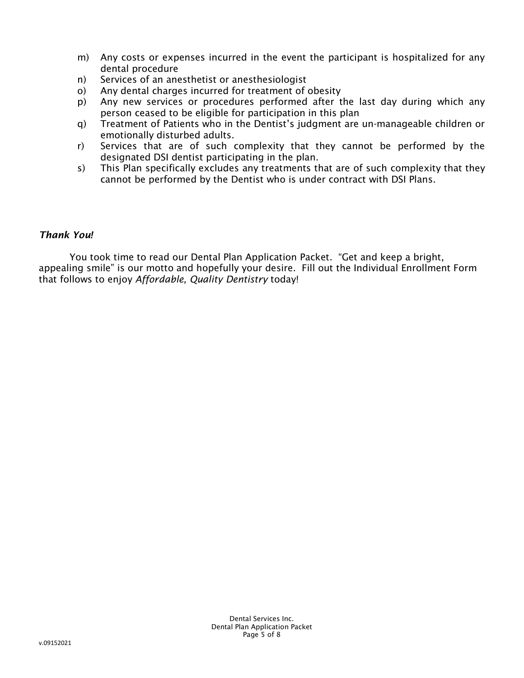- m) Any costs or expenses incurred in the event the participant is hospitalized for any dental procedure
- n) Services of an anesthetist or anesthesiologist
- o) Any dental charges incurred for treatment of obesity
- p) Any new services or procedures performed after the last day during which any person ceased to be eligible for participation in this plan
- q) Treatment of Patients who in the Dentist's judgment are un-manageable children or emotionally disturbed adults.
- r) Services that are of such complexity that they cannot be performed by the designated DSI dentist participating in the plan.
- s) This Plan specifically excludes any treatments that are of such complexity that they cannot be performed by the Dentist who is under contract with DSI Plans.

# *Thank You!*

You took time to read our Dental Plan Application Packet. "Get and keep a bright, appealing smile" is our motto and hopefully your desire. Fill out the Individual Enrollment Form that follows to enjoy *Affordable, Quality Dentistry* today!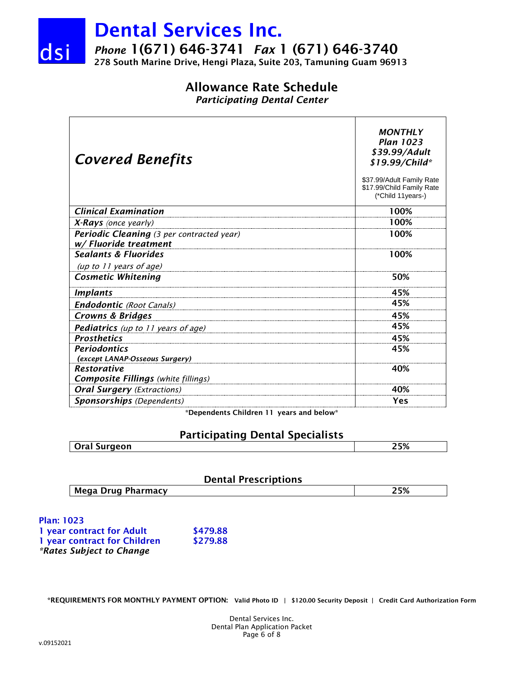

*Phone* 1(671) 646-3741 *Fax* 1 (671) 646-3740

278 South Marine Drive, Hengi Plaza, Suite 203, Tamuning Guam 96913

# Allowance Rate Schedule

*Participating Dental Center*

| <b>Covered Benefits</b>                                            | <b>MONTHLY</b><br><b>Plan 1023</b><br>\$39.99/Adult<br>\$19.99/Child*<br>\$37.99/Adult Family Rate<br>\$17.99/Child Family Rate<br>(*Child 11years-) |
|--------------------------------------------------------------------|------------------------------------------------------------------------------------------------------------------------------------------------------|
| <b>Clinical Examination</b>                                        | 100%                                                                                                                                                 |
| X-Rays (once yearly)                                               | 100%                                                                                                                                                 |
| Periodic Cleaning (3 per contracted year)<br>w/ Fluoride treatment | 100%                                                                                                                                                 |
| <b>Sealants &amp; Fluorides</b>                                    | 100%                                                                                                                                                 |
| (up to 11 years of age)                                            |                                                                                                                                                      |
| <b>Cosmetic Whitening</b>                                          | 50%                                                                                                                                                  |
| <b>Implants</b>                                                    | 45%                                                                                                                                                  |
| <b>Endodontic</b> (Root Canals)                                    | 45%                                                                                                                                                  |
| Crowns & Bridges                                                   | 45%                                                                                                                                                  |
| <b>Pediatrics</b> (up to 11 years of age)                          | 45%                                                                                                                                                  |
| <b>Prosthetics</b>                                                 | 45%                                                                                                                                                  |
| <b>Periodontics</b><br>(except LANAP-Osseous Surgery)              | 45%                                                                                                                                                  |
| <b>Restorative</b><br><b>Composite Fillings</b> (white fillings)   | 40%                                                                                                                                                  |
| <b>Oral Surgery</b> (Extractions)                                  | 40%                                                                                                                                                  |
| <b>Sponsorships</b> (Dependents)                                   | Yes                                                                                                                                                  |

\*Dependents Children 11 years and below\*

# Participating Dental Specialists

| Oral Surgeon | 25% |
|--------------|-----|
|              |     |

### Dental Prescriptions

| Mega Drug Pharmacy | 25% |
|--------------------|-----|
|--------------------|-----|

Plan: 1023 1 year contract for Adult \$479.88 1 year contract for Children \$279.88 *\*Rates Subject to Change*

\*REQUIREMENTS FOR MONTHLY PAYMENT OPTION: Valid Photo ID | \$120.00 Security Deposit | Credit Card Authorization Form

Dental Services Inc. Dental Plan Application Packet Page 6 of 8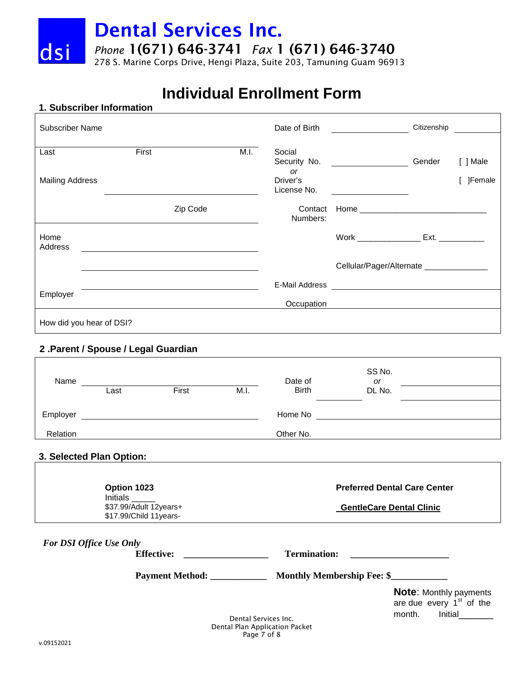*Phone* 1(671) 646-3741 *Fax* 1 (671) 646-3740

278 S. Marine Corps Drive, Hengi Plaza, Suite 203, Tamuning Guam 96913

# **Individual Enrollment Form**

### **1. Subscriber Information**

dsi

| <b>Subscriber Name</b>         |          |      | Date of Birth                                                  | Citizenship                                                                                                                                                                                                                    |                            |
|--------------------------------|----------|------|----------------------------------------------------------------|--------------------------------------------------------------------------------------------------------------------------------------------------------------------------------------------------------------------------------|----------------------------|
| Last<br><b>Mailing Address</b> | First    | M.I. | Social<br>Security No.<br><b>or</b><br>Driver's<br>License No. | Gender                                                                                                                                                                                                                         | [ ] Male<br><b>]Female</b> |
|                                | Zip Code |      | Contact<br>Numbers:                                            | Home and the contract of the contract of the contract of the contract of the contract of the contract of the contract of the contract of the contract of the contract of the contract of the contract of the contract of the c |                            |
| Home<br>Address                |          |      |                                                                | Ext.                                                                                                                                                                                                                           |                            |
|                                |          |      |                                                                | Cellular/Pager/Alternate ______________                                                                                                                                                                                        |                            |
|                                |          |      | E-Mail Address                                                 |                                                                                                                                                                                                                                |                            |
| Employer                       |          |      | Occupation                                                     |                                                                                                                                                                                                                                |                            |
| How did you hear of DSI?       |          |      |                                                                |                                                                                                                                                                                                                                |                            |

### **2 .Parent / Spouse / Legal Guardian**

| Name     |      |       |      | Date of      | SS No.<br><b>or</b> |  |
|----------|------|-------|------|--------------|---------------------|--|
|          | Last | First | M.I. | <b>Birth</b> | DL No.              |  |
| Employer |      |       |      | Home No      |                     |  |
| Relation |      |       |      | Other No.    |                     |  |

# **3. Selected Plan Option:**

| Option 1023             | <b>Preferred Dental Care Center</b> |
|-------------------------|-------------------------------------|
| <b>Initials</b>         |                                     |
| \$37.99/Adult 12years+  | <b>GentleCare Dental Clinic</b>     |
| \$17.99/Child 11 years- |                                     |

| <b>For DSI Office Use Only</b> |                                                                                            |
|--------------------------------|--------------------------------------------------------------------------------------------|
| <b>Effective:</b>              | <b>Termination:</b>                                                                        |
| Payment Method: _________      | <b>Monthly Membership Fee: \$</b>                                                          |
| Dental Camilean Inc.           | <b>Note:</b> Monthly payments<br>are due every 1 <sup>st</sup> of the<br>Initial<br>month. |

Dental Services Inc. Dental Plan Application Packet Page 7 of 8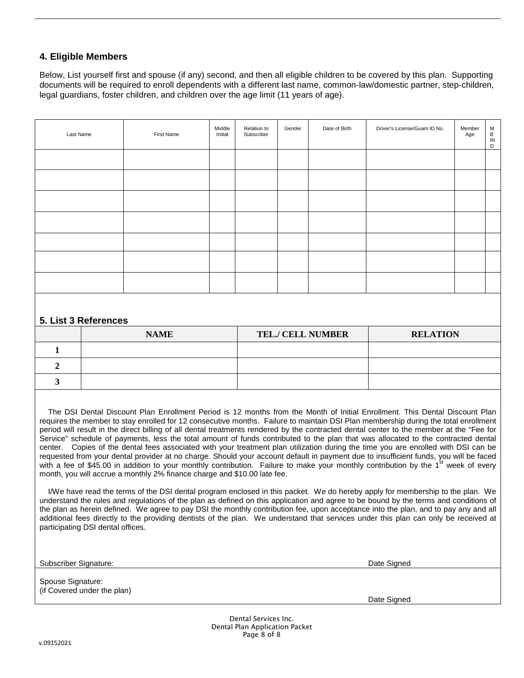### **4. Eligible Members**

Below, List yourself first and spouse (if any) second, and then all eligible children to be covered by this plan. Supporting documents will be required to enroll dependents with a different last name, common-law/domestic partner, step-children, legal guardians, foster children, and children over the age limit (11 years of age).

| Last Name | First Name | Middle<br>Initial | Relation to<br>Subscriber | Gender | Date of Birth | Driver's License/Guam ID No. | Member<br>Age | M<br>B<br>RI<br>D |
|-----------|------------|-------------------|---------------------------|--------|---------------|------------------------------|---------------|-------------------|
|           |            |                   |                           |        |               |                              |               |                   |
|           |            |                   |                           |        |               |                              |               |                   |
|           |            |                   |                           |        |               |                              |               |                   |
|           |            |                   |                           |        |               |                              |               |                   |
|           |            |                   |                           |        |               |                              |               |                   |
|           |            |                   |                           |        |               |                              |               |                   |
|           |            |                   |                           |        |               |                              |               |                   |

### **5. List 3 References**

| <b>NAME</b> | <b>TEL./ CELL NUMBER</b> | <b>RELATION</b> |
|-------------|--------------------------|-----------------|
|             |                          |                 |
|             |                          |                 |
|             |                          |                 |

 The DSI Dental Discount Plan Enrollment Period is 12 months from the Month of Initial Enrollment. This Dental Discount Plan requires the member to stay enrolled for 12 consecutive months. Failure to maintain DSI Plan membership during the total enrollment period will result in the direct billing of all dental treatments rendered by the contracted dental center to the member at the "Fee for Service" schedule of payments, less the total amount of funds contributed to the plan that was allocated to the contracted dental center. Copies of the dental fees associated with your treatment plan utilization during the time you are enrolled with DSI can be requested from your dental provider at no charge. Should your account default in payment due to insufficient funds, you will be faced with a fee of \$45.00 in addition to your monthly contribution. Failure to make your monthly contribution by the 1<sup>st</sup> week of every month, you will accrue a monthly 2% finance charge and \$10.00 late fee.

 I/We have read the terms of the DSI dental program enclosed in this packet. We do hereby apply for membership to the plan. We understand the rules and regulations of the plan as defined on this application and agree to be bound by the terms and conditions of the plan as herein defined. We agree to pay DSI the monthly contribution fee, upon acceptance into the plan, and to pay any and all additional fees directly to the providing dentists of the plan. We understand that services under this plan can only be received at participating DSI dental offices.

Subscriber Signature: Date Signed

Spouse Signature: (if Covered under the plan)

Date Signed

Dental Services Inc. Dental Plan Application Packet Page 8 of 8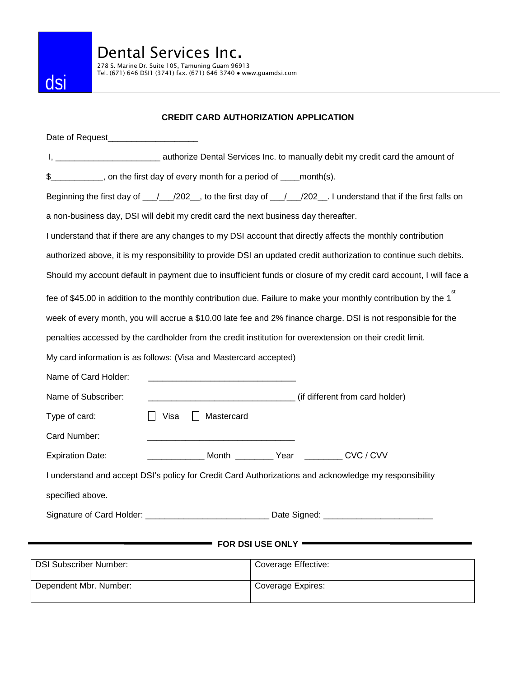

278 S. Marine Dr. Suite 105, Tamuning Guam 96913<br>Tel. (671) 646 DSI1 (3741) fax. (671) 646 3740 ● www.guamdsi.com

### **CREDIT CARD AUTHORIZATION APPLICATION**

| Date of Request______________________                                                                          |                                                                                                                    |
|----------------------------------------------------------------------------------------------------------------|--------------------------------------------------------------------------------------------------------------------|
|                                                                                                                | I, _________________________________ authorize Dental Services Inc. to manually debit my credit card the amount of |
| __________, on the first day of every month for a period of ____month(s).<br>\$                                |                                                                                                                    |
|                                                                                                                | Beginning the first day of __/__/202__, to the first day of __/__/202__. I understand that if the first falls on   |
| a non-business day, DSI will debit my credit card the next business day thereafter.                            |                                                                                                                    |
| I understand that if there are any changes to my DSI account that directly affects the monthly contribution    |                                                                                                                    |
|                                                                                                                | authorized above, it is my responsibility to provide DSI an updated credit authorization to continue such debits.  |
|                                                                                                                | Should my account default in payment due to insufficient funds or closure of my credit card account, I will face a |
| fee of \$45.00 in addition to the monthly contribution due. Failure to make your monthly contribution by the 1 |                                                                                                                    |
|                                                                                                                | week of every month, you will accrue a \$10.00 late fee and 2% finance charge. DSI is not responsible for the      |
| penalties accessed by the cardholder from the credit institution for overextension on their credit limit.      |                                                                                                                    |
| My card information is as follows: (Visa and Mastercard accepted)                                              |                                                                                                                    |
| Name of Card Holder:                                                                                           |                                                                                                                    |
| Name of Subscriber:                                                                                            | (if different from card holder) (if different from card holder)                                                    |
| Mastercard<br>Type of card:<br>Visa                                                                            |                                                                                                                    |
| Card Number:                                                                                                   |                                                                                                                    |
| <b>Expiration Date:</b>                                                                                        | _______________ Month ____________ Year ___________ CVC / CVV                                                      |
| I understand and accept DSI's policy for Credit Card Authorizations and acknowledge my responsibility          |                                                                                                                    |
| specified above.                                                                                               |                                                                                                                    |
| Signature of Card Holder: _________________________________ Date Signed: __________________________            |                                                                                                                    |
|                                                                                                                |                                                                                                                    |
|                                                                                                                | <b>FOR DSI USE ONLY .</b>                                                                                          |
| <b>DSI Subscriber Number:</b>                                                                                  | Coverage Effective:                                                                                                |
| Dependent Mbr. Number:                                                                                         | Coverage Expires:                                                                                                  |
|                                                                                                                |                                                                                                                    |